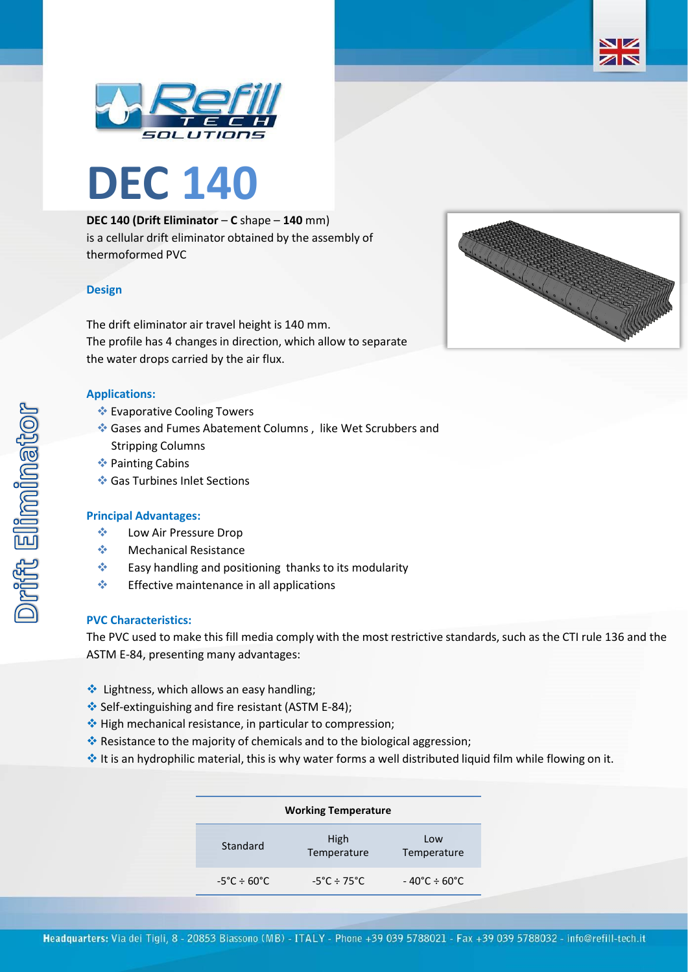



# **DEC 140 (Drift Eliminator** – **C** shape – **140** mm) is a cellular drift eliminator obtained by the assembly of thermoformed PVC

## **Design**

The drift eliminator air travel height is 140 mm. The profile has 4 changes in direction, which allow to separate the water drops carried by the air flux.

### **Applications:**

- ❖ Evaporative Cooling Towers
- ❖ Gases and Fumes Abatement Columns , like Wet Scrubbers and Stripping Columns
- ❖ Painting Cabins
- ❖ Gas Turbines Inlet Sections

#### **Principal Advantages:**

- ❖ Low Air Pressure Drop
- ❖ Mechanical Resistance
- ❖ Easy handling and positioning thanks to its modularity
- ❖ Effective maintenance in all applications

#### **PVC Characteristics:**

The PVC used to make this fill media comply with the most restrictive standards, such as the CTI rule 136 and the ASTM E-84, presenting many advantages:

- ❖ Lightness, which allows an easy handling;
- ❖ Self-extinguishing and fire resistant (ASTM E-84);
- ❖ High mechanical resistance, in particular to compression;
- ❖ Resistance to the majority of chemicals and to the biological aggression;
- ❖ It is an hydrophilic material, this is why water forms a well distributed liquid film while flowing on it.

| <b>Working Temperature</b>       |                                  |                                   |  |  |
|----------------------------------|----------------------------------|-----------------------------------|--|--|
| Standard                         | High<br>Temperature              | Low<br>Temperature                |  |  |
| $-5^{\circ}$ C ÷ 60 $^{\circ}$ C | $-5^{\circ}$ C ÷ 75 $^{\circ}$ C | $-40^{\circ}$ C ÷ 60 $^{\circ}$ C |  |  |